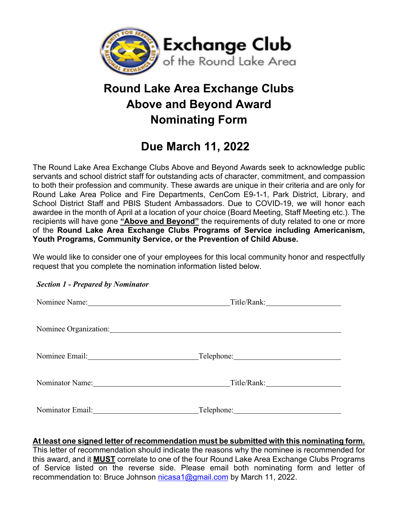

# **Round Lake Area Exchange Clubs Above and Beyond Award Nominating Form**

## **Due March 11, 2022**

The Round Lake Area Exchange Clubs Above and Beyond Awards seek to acknowledge public servants and school district staff for outstanding acts of character, commitment, and compassion to both their profession and community. These awards are unique in their criteria and are only for Round Lake Area Police and Fire Departments, CenCom E9-1-1, Park District, Library, and School District Staff and PBIS Student Ambassadors. Due to COVID-19, we will honor each awardee in the month of April at a location of your choice (Board Meeting, Staff Meeting etc.). The recipients will have gone **"Above and Beyond"** the requirements of duty related to one or more of the **Round Lake Area Exchange Clubs Programs of Service including Americanism, Youth Programs, Community Service, or the Prevention of Child Abuse.** 

We would like to consider one of your employees for this local community honor and respectfully request that you complete the nomination information listed below.

| Nominee Organization:                   |  |
|-----------------------------------------|--|
|                                         |  |
| Nominator Name: Title/Rank: Title/Rank: |  |
| Nominator Email: Telephone: Telephone:  |  |

#### *Section 1 - Prepared by Nominator*

#### **At least one signed letter of recommendation must be submitted with this nominating form.**

This letter of recommendation should indicate the reasons why the nominee is recommended for this award, and it **MUST** correlate to one of the four Round Lake Area Exchange Clubs Programs of Service listed on the reverse side. Please email both nominating form and letter of recommendation to: Bruce Johnson nicasa1@gmail.com by March 11, 2022.